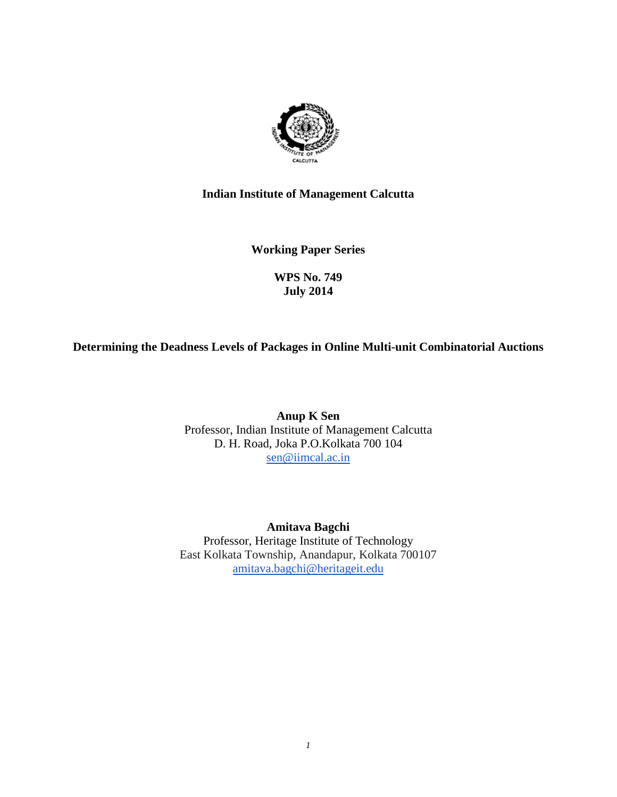

# **Indian Institute of Management Calcutta**

**Working Paper Series**

# **WPS No. 749 July 2014**

# **Determining the Deadness Levels of Packages in Online Multi-unit Combinatorial Auctions**

**Anup K Sen** Professor, Indian Institute of Management Calcutta D. H. Road, Joka P.O.Kolkata 700 104 [sen@iimcal.ac.in](mailto:sen@iimcal.ac.in)

**Amitava Bagchi** Professor, Heritage Institute of Technology East Kolkata Township, Anandapur, Kolkata 700107 [amitava.bagchi@heritageit.edu](mailto:amitava.bagchi@heritageit.edu)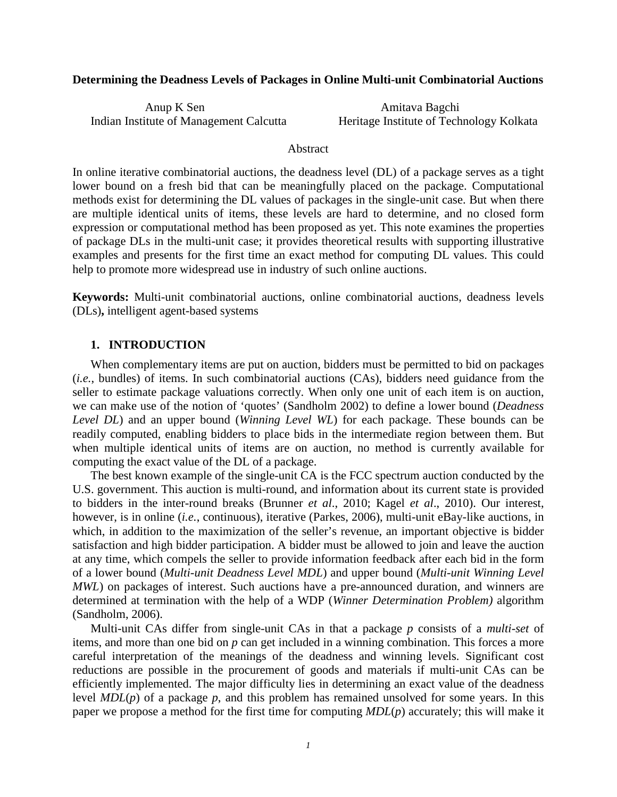## **Determining the Deadness Levels of Packages in Online Multi-unit Combinatorial Auctions**

Anup K Sen Amitava Bagchi Indian Institute of Management Calcutta Heritage Institute of Technology Kolkata

### **Abstract**

In online iterative combinatorial auctions, the deadness level (DL) of a package serves as a tight lower bound on a fresh bid that can be meaningfully placed on the package. Computational methods exist for determining the DL values of packages in the single-unit case. But when there are multiple identical units of items, these levels are hard to determine, and no closed form expression or computational method has been proposed as yet. This note examines the properties of package DLs in the multi-unit case; it provides theoretical results with supporting illustrative examples and presents for the first time an exact method for computing DL values. This could help to promote more widespread use in industry of such online auctions.

**Keywords:** Multi-unit combinatorial auctions, online combinatorial auctions, deadness levels (DLs)**,** intelligent agent-based systems

## **1. INTRODUCTION**

When complementary items are put on auction, bidders must be permitted to bid on packages (*i.e.*, bundles) of items. In such combinatorial auctions (CAs), bidders need guidance from the seller to estimate package valuations correctly. When only one unit of each item is on auction, we can make use of the notion of 'quotes' (Sandholm 2002) to define a lower bound (*Deadness Level DL*) and an upper bound (*Winning Level WL*) for each package. These bounds can be readily computed, enabling bidders to place bids in the intermediate region between them. But when multiple identical units of items are on auction, no method is currently available for computing the exact value of the DL of a package.

The best known example of the single-unit CA is the FCC spectrum auction conducted by the U.S. government. This auction is multi-round, and information about its current state is provided to bidders in the inter-round breaks (Brunner *et al*., 2010; Kagel *et al*., 2010). Our interest, however, is in online (*i.e.*, continuous), iterative (Parkes, 2006), multi-unit eBay-like auctions, in which, in addition to the maximization of the seller's revenue, an important objective is bidder satisfaction and high bidder participation. A bidder must be allowed to join and leave the auction at any time, which compels the seller to provide information feedback after each bid in the form of a lower bound (*Multi-unit Deadness Level MDL*) and upper bound (*Multi-unit Winning Level MWL*) on packages of interest. Such auctions have a pre-announced duration, and winners are determined at termination with the help of a WDP (*Winner Determination Problem)* algorithm (Sandholm, 2006).

Multi-unit CAs differ from single-unit CAs in that a package *p* consists of a *multi-set* of items, and more than one bid on *p* can get included in a winning combination. This forces a more careful interpretation of the meanings of the deadness and winning levels. Significant cost reductions are possible in the procurement of goods and materials if multi-unit CAs can be efficiently implemented. The major difficulty lies in determining an exact value of the deadness level *MDL*(*p*) of a package *p*, and this problem has remained unsolved for some years. In this paper we propose a method for the first time for computing *MDL*(*p*) accurately; this will make it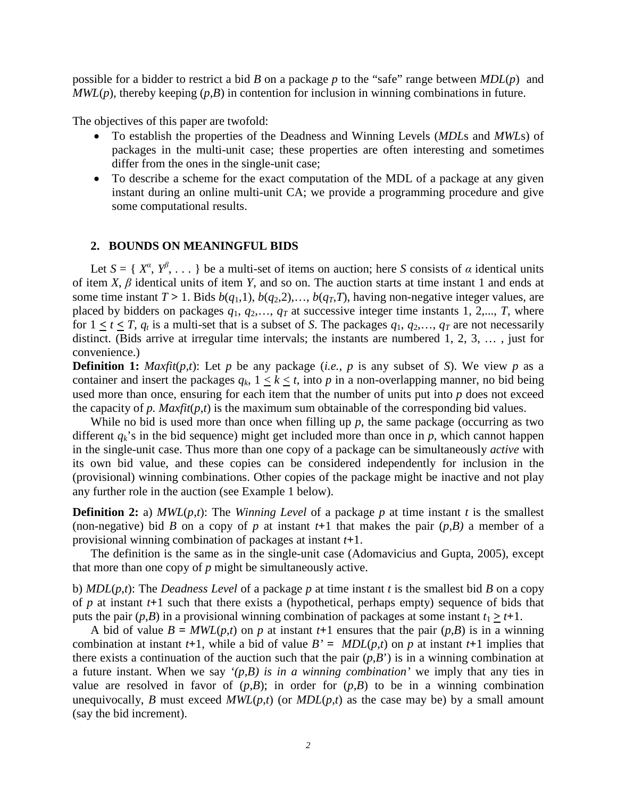possible for a bidder to restrict a bid *B* on a package *p* to the "safe" range between *MDL*(*p*) and  $MWL(p)$ , thereby keeping  $(p,B)$  in contention for inclusion in winning combinations in future.

The objectives of this paper are twofold:

- To establish the properties of the Deadness and Winning Levels (*MDL*s and *MWL*s) of packages in the multi-unit case; these properties are often interesting and sometimes differ from the ones in the single-unit case;
- To describe a scheme for the exact computation of the MDL of a package at any given instant during an online multi-unit CA; we provide a programming procedure and give some computational results.

### **2. BOUNDS ON MEANINGFUL BIDS**

Let  $S = \{X^{\alpha}, Y^{\beta}, \ldots\}$  be a multi-set of items on auction; here *S* consists of *α* identical units of item *X*, *β* identical units of item *Y*, and so on. The auction starts at time instant 1 and ends at some time instant  $T > 1$ . Bids  $b(q_1,1)$ ,  $b(q_2,2)$ ,...,  $b(q_T,T)$ , having non-negative integer values, are placed by bidders on packages  $q_1, q_2, \ldots, q_T$  at successive integer time instants 1, 2,..., *T*, where for  $1 < t < T$ ,  $q_t$  is a multi-set that is a subset of *S*. The packages  $q_1, q_2,..., q_T$  are not necessarily distinct. (Bids arrive at irregular time intervals; the instants are numbered 1, 2, 3, … , just for convenience.)

**Definition 1:** *Maxfit*( $p$ , $t$ ): Let  $p$  be any package (*i.e.*,  $p$  is any subset of *S*). We view  $p$  as a container and insert the packages  $q_k$ ,  $1 \leq k \leq t$ , into p in a non-overlapping manner, no bid being used more than once, ensuring for each item that the number of units put into *p* does not exceed the capacity of *p. Maxfit*(*p*,*t*) is the maximum sum obtainable of the corresponding bid values.

While no bid is used more than once when filling up  $p$ , the same package (occurring as two different  $q_k$ 's in the bid sequence) might get included more than once in  $p$ , which cannot happen in the single-unit case. Thus more than one copy of a package can be simultaneously *active* with its own bid value, and these copies can be considered independently for inclusion in the (provisional) winning combinations. Other copies of the package might be inactive and not play any further role in the auction (see Example 1 below).

**Definition 2:** a)  $MWL(p,t)$ : The *Winning Level* of a package *p* at time instant *t* is the smallest (non-negative) bid *B* on a copy of *p* at instant  $t+1$  that makes the pair  $(p,B)$  a member of a provisional winning combination of packages at instant *t***+**1.

The definition is the same as in the single-unit case (Adomavicius and Gupta, 2005), except that more than one copy of *p* might be simultaneously active.

b) *MDL*(*p*,*t*): The *Deadness Level* of a package *p* at time instant *t* is the smallest bid *B* on a copy of *p* at instant *t***+**1 such that there exists a (hypothetical, perhaps empty) sequence of bids that puts the pair  $(p,B)$  in a provisional winning combination of packages at some instant  $t_1 > t+1$ .

A bid of value  $B = MWL(p,t)$  on p at instant  $t+1$  ensures that the pair  $(p,B)$  is in a winning combination at instant  $t+1$ , while a bid of value  $B' = MDL(p,t)$  on p at instant  $t+1$  implies that there exists a continuation of the auction such that the pair  $(p, B')$  is in a winning combination at a future instant. When we say *'(p,B) is in a winning combination'* we imply that any ties in value are resolved in favor of  $(p,B)$ ; in order for  $(p,B)$  to be in a winning combination unequivocally, *B* must exceed  $MWL(p,t)$  (or  $MDL(p,t)$  as the case may be) by a small amount (say the bid increment).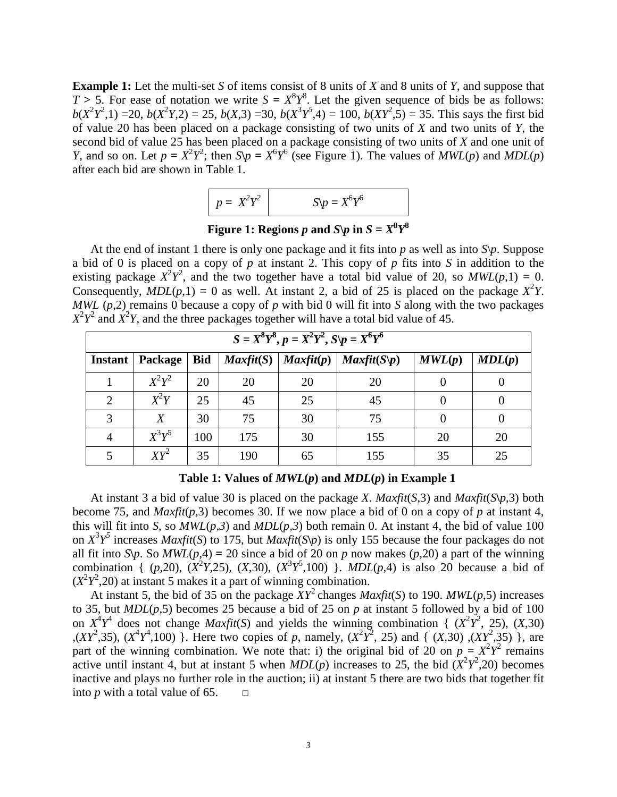**Example 1:** Let the multi-set *S* of items consist of 8 units of *X* and 8 units of *Y*, and suppose that  $T > 5$ . For ease of notation we write  $S = X^8 Y^8$ . Let the given sequence of bids be as follows:  $b(X^2Y^2,1)$  = 20,  $b(X^2Y,2)$  = 25,  $b(X,3)$  = 30,  $b(X^3Y^5,4)$  = 100,  $b(XY^2,5)$  = 35. This says the first bid of value 20 has been placed on a package consisting of two units of *X* and two units of *Y*, the second bid of value 25 has been placed on a package consisting of two units of *X* and one unit of *Y*, and so on. Let  $p = X^2 Y^2$ ; then  $S \psi = X^6 Y^6$  (see Figure 1). The values of *MWL*(*p*) and *MDL*(*p*) after each bid are shown in Table 1.

| $p = X^2Y^2$ | $\Lambda_D = X^6 Y^6$ |
|--------------|-----------------------|
|--------------|-----------------------|

Figure 1: Regions  $p$  and  $S\varphi$  in  $S=X^8Y^8$ 

At the end of instant 1 there is only one package and it fits into  $p$  as well as into  $S\varphi$ . Suppose a bid of 0 is placed on a copy of *p* at instant 2. This copy of *p* fits into *S* in addition to the existing package  $X^2Y^2$ , and the two together have a total bid value of 20, so  $MWL(p,1) = 0$ . Consequently,  $MDL(p,1) = 0$  as well. At instant 2, a bid of 25 is placed on the package  $X^2Y$ . *MWL* (*p*,2) remains 0 because a copy of *p* with bid 0 will fit into *S* along with the two packages  $X^2 Y^2$  and  $X^2 Y$ , and the three packages together will have a total bid value of 45.

| $S = X^8Y^8, p = X^2Y^2, S\psi = X^6Y^6$ |          |            |                      |                    |                           |        |        |
|------------------------------------------|----------|------------|----------------------|--------------------|---------------------------|--------|--------|
| <b>Instant</b>                           | Package  | <b>Bid</b> | $\textit{Maxfit}(S)$ | $\text{Maxfit}(p)$ | $\text{Maxfit}(S\vert p)$ | MWL(p) | MDL(p) |
|                                          | $X^2Y^2$ | 20         | 20                   | 20                 | 20                        |        |        |
| 2                                        | $X^2Y$   | 25         | 45                   | 25                 | 45                        |        |        |
| 3                                        | Χ        | 30         | 75                   | 30                 | 75                        |        |        |
| 4                                        | $X^3Y^5$ | 100        | 175                  | 30                 | 155                       | 20     | 20     |
|                                          | $XY^2$   | 35         | 190                  | 65                 | 155                       | 35     | 25     |

**Table 1: Values of**  $MWL(p)$  **and**  $MDL(p)$  **in Example 1** 

At instant 3 a bid of value 30 is placed on the package *X*. *Maxfit*(*S*,3) and *Maxfit*(*S*\p,3) both become 75, and  $\text{Maxfit}(p,3)$  becomes 30. If we now place a bid of 0 on a copy of p at instant 4, this will fit into *S*, so  $MWL(p,3)$  and  $MDL(p,3)$  both remain 0. At instant 4, the bid of value 100 on  $X^3 Y^5$  increases *Maxfit*(*S*) to 175, but *Maxfit*(*S*\p) is only 155 because the four packages do not all fit into *S* $\uparrow$ *p*. So *MWL*(*p*,4) = 20 since a bid of 20 on *p* now makes (*p*,20) a part of the winning combination {  $(p,20)$ ,  $(X^2Y,25)$ ,  $(X,30)$ ,  $(X^3Y^5,100)$  }. *MDL* $(p,4)$  is also 20 because a bid of  $(X^2Y^2, 20)$  at instant 5 makes it a part of winning combination.

At instant 5, the bid of 35 on the package  $XY^2$  changes *Maxfit*(*S*) to 190. *MWL*(*p*,5) increases to 35, but *MDL*(*p*,5) becomes 25 because a bid of 25 on *p* at instant 5 followed by a bid of 100 on  $X^4Y^4$  does not change *Maxfit*(*S*) and yields the winning combination {  $(X^2Y^2, 25)$ ,  $(X,30)$  $(XY^2,35)$ ,  $(X^4Y^4,100)$  }. Here two copies of *p*, namely,  $(X^2Y^2, 25)$  and {  $(X,30)$ ,  $(XY^2,35)$  }, are part of the winning combination. We note that: i) the original bid of 20 on  $p = X^2Y^2$  remains active until instant 4, but at instant 5 when  $MDL(p)$  increases to 25, the bid  $(X^2Y^2, 20)$  becomes inactive and plays no further role in the auction; ii) at instant 5 there are two bids that together fit into *p* with a total value of 65.  $\Box$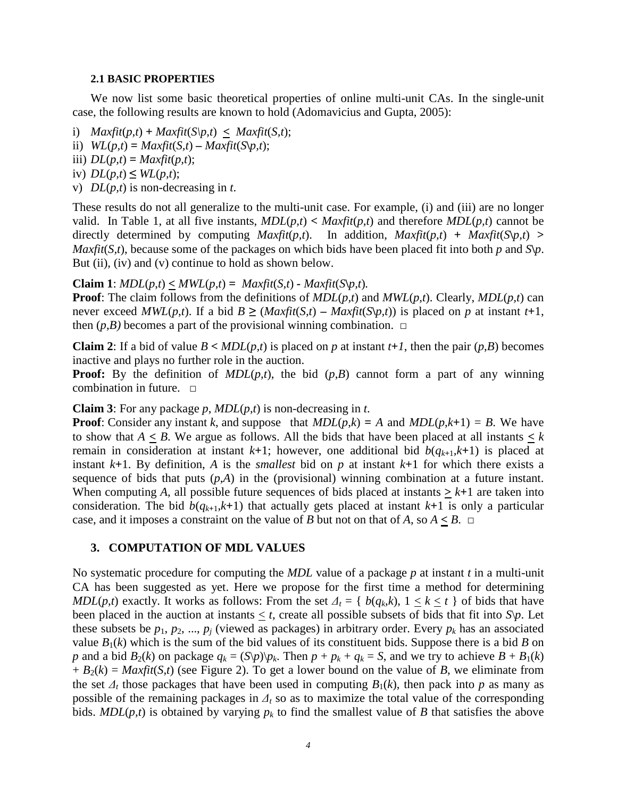#### **2.1 BASIC PROPERTIES**

We now list some basic theoretical properties of online multi-unit CAs. In the single-unit case, the following results are known to hold (Adomavicius and Gupta, 2005):

i)  $Maxfit(p,t) + Maxfit(S\varphi, t) \le Maxfit(S,t);$ 

ii)  $WL(p,t) = Maxfit(S,t) - Maxfit(S\backslash p,t);$ 

iii)  $DL(p,t) = Maxfit(p,t);$ 

iv)  $DL(p,t) \leq WL(p,t);$ 

v) *DL*(*p,t*) is non-decreasing in *t*.

These results do not all generalize to the multi-unit case. For example, (i) and (iii) are no longer valid. In Table 1, at all five instants,  $MDL(p,t) < Maxfit(p,t)$  and therefore  $MDL(p,t)$  cannot be directly determined by computing  $\text{Maxfit}(p,t)$ . In addition,  $\text{Maxfit}(p,t) + \text{Maxfit}(S\backslash p,t)$ *Maxfit*(*S,t*), because some of the packages on which bids have been placed fit into both *p* and *S*\*p*. But (ii), (iv) and (v) continue to hold as shown below.

### **Claim** 1:  $MDL(p,t) \leq MWL(p,t) = Maxfit(S,t) - Maxfit(S(p,t))$ .

**Proof**: The claim follows from the definitions of *MDL*(*p,t*) and *MWL*(*p,t*). Clearly, *MDL*(*p,t*) can never exceed  $MWL(p,t)$ . If a bid  $B \geq (Maxfit(S,t) - Maxfit(S(p,t))$  is placed on p at instant t+1, then  $(p,B)$  becomes a part of the provisional winning combination.  $\Box$ 

**Claim 2**: If a bid of value  $B < MDL(p,t)$  is placed on *p* at instant  $t+1$ , then the pair  $(p,B)$  becomes inactive and plays no further role in the auction.

**Proof:** By the definition of *MDL*(*p,t*), the bid (*p*,*B*) cannot form a part of any winning combination in future. □

### **Claim 3**: For any package *p*, *MDL*(*p*,*t*) is non-decreasing in *t*.

**Proof**: Consider any instant *k*, and suppose that  $MDL(p,k) = A$  and  $MDL(p,k+1) = B$ . We have to show that  $A \leq B$ . We argue as follows. All the bids that have been placed at all instants  $\leq k$ remain in consideration at instant  $k+1$ ; however, one additional bid  $b(q_{k+1},k+1)$  is placed at instant *k***+**1. By definition, *A* is the *smallest* bid on *p* at instant *k***+**1 for which there exists a sequence of bids that puts  $(p,A)$  in the (provisional) winning combination at a future instant. When computing A, all possible future sequences of bids placed at instants  $> k+1$  are taken into consideration. The bid  $b(q_{k+1},k+1)$  that actually gets placed at instant  $k+1$  is only a particular case, and it imposes a constraint on the value of *B* but not on that of *A*, so  $A \leq B$ .  $\Box$ 

#### **3. COMPUTATION OF MDL VALUES**

No systematic procedure for computing the *MDL* value of a package *p* at instant *t* in a multi-unit CA has been suggested as yet. Here we propose for the first time a method for determining *MDL*(*p*,*t*) exactly. It works as follows: From the set  $\Delta_t = \{b(q_k, k), 1 \le k \le t\}$  of bids that have been placed in the auction at instants  $\lt t$ , create all possible subsets of bids that fit into  $\mathcal{S}\backslash p$ . Let these subsets be  $p_1$ ,  $p_2$ , ...,  $p_j$  (viewed as packages) in arbitrary order. Every  $p_k$  has an associated value  $B_1(k)$  which is the sum of the bid values of its constituent bids. Suppose there is a bid *B* on *p* and a bid  $B_2(k)$  on package  $q_k = (S \backslash p) \backslash p_k$ . Then  $p + p_k + q_k = S$ , and we try to achieve  $B + B_1(k)$  $+ B_2(k) = \text{Maxfit}(S, t)$  (see Figure 2). To get a lower bound on the value of *B*, we eliminate from the set  $\Delta_t$  those packages that have been used in computing  $B_1(k)$ , then pack into p as many as possible of the remaining packages in  $\Delta_t$  so as to maximize the total value of the corresponding bids.  $MDL(p,t)$  is obtained by varying  $p_k$  to find the smallest value of *B* that satisfies the above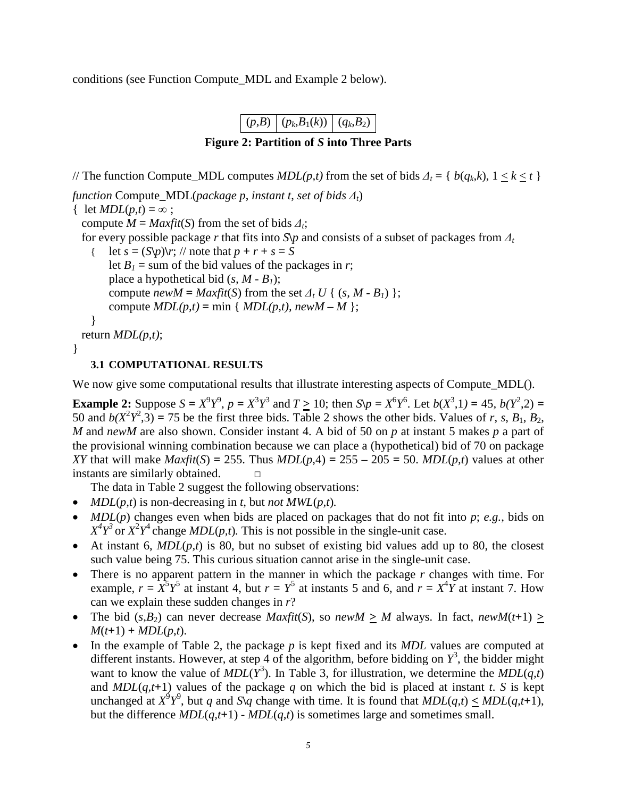conditions (see Function Compute\_MDL and Example 2 below).



// The function Compute\_MDL computes  $MDL(p,t)$  from the set of bids  $\Delta_t = \{ b(q_k, k), 1 \le k \le t \}$ *function* Compute MDL(*package p*, *instant t*, *set of bids*  $\Delta_t$ ) { let  $MDL(p,t) = \infty$ ; compute  $M = Maxfit(S)$  from the set of bids  $\Delta t$ ; for every possible package r that fits into  $S\psi$  and consists of a subset of packages from  $\Delta_t$ let  $s = (S\downarrow p)\uparrow r$ ; // note that  $p + r + s = S$ let  $B_1$  = sum of the bid values of the packages in *r*; place a hypothetical bid  $(s, M - B_1)$ ; compute *newM* =  $Maxfit(S)$  from the set  $\Delta_t U$  { (*s, M* **-** *B<sub>1</sub>*) }; compute  $MDL(p,t) = min \{ MDL(p,t), newM - M \};$ } return *MDL(p,t)*; }

# **3.1 COMPUTATIONAL RESULTS**

We now give some computational results that illustrate interesting aspects of Compute MDL().

**Example 2:** Suppose  $S = X^9 Y^9$ ,  $p = X^3 Y^3$  and  $T \ge 10$ ; then  $S \backslash p = X^6 Y^6$ . Let  $b(X^3, 1) = 45$ ,  $b(Y^2, 2) =$ 50 and  $b(X^2Y^2, 3) = 75$  be the first three bids. Table 2 shows the other bids. Values of *r*, *s*, *B*<sub>1</sub>, *B*<sub>2</sub>, *M* and *newM* are also shown. Consider instant 4. A bid of 50 on *p* at instant 5 makes *p* a part of the provisional winning combination because we can place a (hypothetical) bid of 70 on package *XY* that will make *Maxfit*(*S*) = 255. Thus *MDL*(*p*,4) = 255 – 205 = 50. *MDL*(*p*,*t*) values at other instants are similarly obtained.  $□$ 

The data in Table 2 suggest the following observations:

- *MDL*( $p, t$ ) is non-decreasing in  $t$ , but *not*  $MWL(p, t)$ .
- *MDL*(*p*) changes even when bids are placed on packages that do not fit into *p*; *e.g.*, bids on  $X^4 Y^3$  or  $X^2 Y^4$  change *MDL*(*p,t*). This is not possible in the single-unit case.
- At instant 6, *MDL*(*p,t*) is 80, but no subset of existing bid values add up to 80, the closest such value being 75. This curious situation cannot arise in the single-unit case.
- There is no apparent pattern in the manner in which the package *r* changes with time. For example,  $r = X^5 Y^5$  at instant 4, but  $r = Y^5$  at instants 5 and 6, and  $r = X^4 Y$  at instant 7. How can we explain these sudden changes in *r*?
- The bid  $(s, B_2)$  can never decrease *Maxfit*(*S*), so *newM* > *M* always. In fact, *newM*(*t*+1) >  $M(t+1) + MDL(p,t)$ .
- In the example of Table 2, the package *p* is kept fixed and its *MDL* values are computed at different instants. However, at step 4 of the algorithm, before bidding on  $Y^3$ , the bidder might want to know the value of  $MDL(Y^3)$ . In Table 3, for illustration, we determine the  $MDL(q,t)$ and *MDL*( $q$ , $t$ +1) values of the package  $q$  on which the bid is placed at instant  $t$ . *S* is kept unchanged at  $X^9 Y^9$ , but *q* and *S*\*q* change with time. It is found that  $MDL(q,t) \leq MDL(q,t+1)$ , but the difference  $MDL(q,t+1)$  -  $MDL(q,t)$  is sometimes large and sometimes small.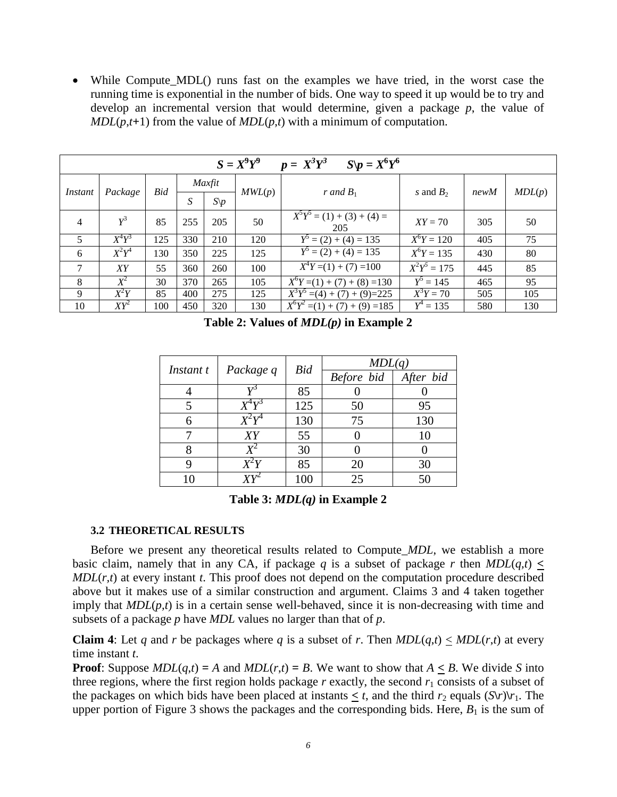• While Compute\_MDL() runs fast on the examples we have tried, in the worst case the running time is exponential in the number of bids. One way to speed it up would be to try and develop an incremental version that would determine, given a package *p*, the value of  $MDL(p,t+1)$  from the value of  $MDL(p,t)$  with a minimum of computation.

| $S = X^9Y^9$<br>$p = X^3 Y^3$<br>$S\backslash p=X^6Y^6$ |                     |     |        |                 |        |                                             |                |      |        |
|---------------------------------------------------------|---------------------|-----|--------|-----------------|--------|---------------------------------------------|----------------|------|--------|
|                                                         |                     |     | Maxfit |                 |        |                                             |                |      |        |
| Instant                                                 | Package             | Bid | S      | $S\backslash p$ | MWL(p) | r and $B_1$                                 | s and $B_2$    | newM | MDL(p) |
| $\overline{4}$                                          | $Y^3$               | 85  | 255    | 205             | 50     | $X^5Y^5 = (1) + (3) + (4) =$<br>205         | $XY = 70$      | 305  | 50     |
| 5                                                       | $\overline{X}^4Y^3$ | 125 | 330    | 210             | 120    | $Y^5 = (2) + (4) = 135$                     | $X^6Y = 120$   | 405  | 75     |
| 6                                                       | $X^2Y^4$            | 130 | 350    | 225             | 125    | $Y^5 = (2) + (4) = 135$                     | $X^6Y = 135$   | 430  | 80     |
| 7                                                       | XY                  | 55  | 360    | 260             | 100    | $\overline{X^4Y}$ = (1) + (7) = 100         | $X^2Y^5 = 175$ | 445  | 85     |
| 8                                                       | $X^2$               | 30  | 370    | 265             | 105    | $X^6Y=(1)+(7)+(8)=130$                      | $Y^5 = 145$    | 465  | 95     |
| 9                                                       | $X^2Y$              | 85  | 400    | 275             | 125    | $X^3Y^5 = (4) + (7) + (9) = 225$            | $X^3Y = 70$    | 505  | 105    |
| 10                                                      | $XY^2$              | 100 | 450    | 320             | 130    | $\overline{X}^6Y^2$ = (1) + (7) + (9) = 185 | $Y^4 = 135$    | 580  | 130    |

**Table 2: Values of** *MDL(p)* **in Example 2**

| Instant t | Package q                      | Bid | MDL(q)     |           |  |
|-----------|--------------------------------|-----|------------|-----------|--|
|           |                                |     | Before bid | After bid |  |
|           | 77J                            | 85  |            |           |  |
|           |                                | 125 | 50         | 95        |  |
| 6         | $\overline{Y}^2\overline{Y}^4$ | 130 | 75         | 130       |  |
|           | XY                             | 55  |            | 10        |  |
|           |                                | 30  |            |           |  |
|           | $X^2Y$                         | 85  | 20         | 30        |  |
|           |                                | 100 | 25         | 50        |  |

**Table 3:** *MDL(q)* **in Example 2**

## **3.2 THEORETICAL RESULTS**

Before we present any theoretical results related to Compute\_*MDL*, we establish a more basic claim, namely that in any CA, if package *q* is a subset of package *r* then  $MDL(q,t) \leq$  $MDL(r,t)$  at every instant *t*. This proof does not depend on the computation procedure described above but it makes use of a similar construction and argument. Claims 3 and 4 taken together imply that  $MDL(p,t)$  is in a certain sense well-behaved, since it is non-decreasing with time and subsets of a package *p* have *MDL* values no larger than that of *p*.

**Claim 4**: Let *q* and *r* be packages where *q* is a subset of *r*. Then  $MDL(q,t) < MDL(r,t)$  at every time instant *t*.

**Proof**: Suppose  $MDL(q,t) = A$  and  $MDL(r,t) = B$ . We want to show that  $A \leq B$ . We divide *S* into three regions, where the first region holds package  $r$  exactly, the second  $r_1$  consists of a subset of the packages on which bids have been placed at instants  $\leq t$ , and the third  $r_2$  equals  $(S\vert r)\vert r_1$ . The upper portion of Figure 3 shows the packages and the corresponding bids. Here,  $B_1$  is the sum of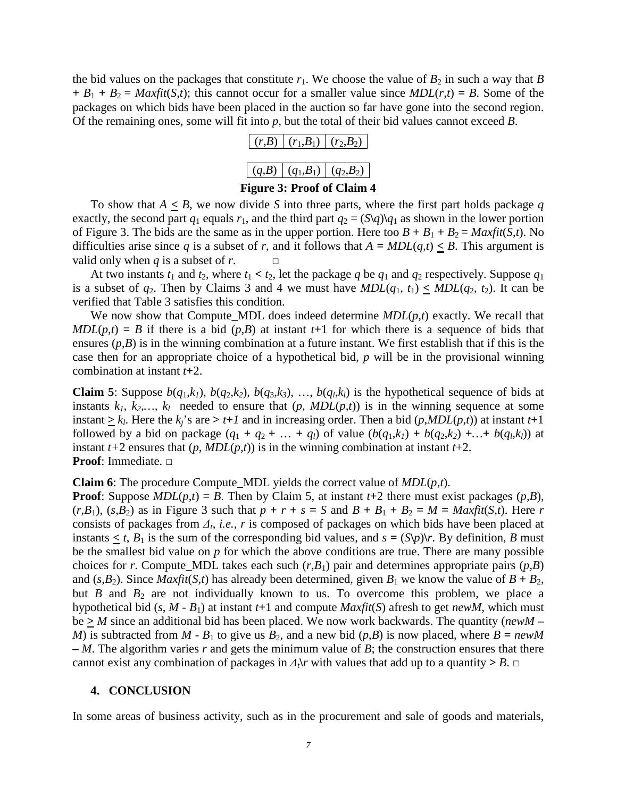the bid values on the packages that constitute  $r_1$ . We choose the value of  $B_2$  in such a way that *B*  $+ B_1 + B_2 = \text{Maxfit}(S,t)$ ; this cannot occur for a smaller value since  $MDL(r,t) = B$ . Some of the packages on which bids have been placed in the auction so far have gone into the second region. Of the remaining ones, some will fit into *p*, but the total of their bid values cannot exceed *B*.

|  | $ (r,B)   (r_1,B_1)   (r_2,B_2)$ |
|--|----------------------------------|
|  |                                  |
|  | $(q,B)$ $(q_1,B_1)$ $(q_2,B_2)$  |
|  |                                  |

**Figure 3: Proof of Claim 4**

To show that  $A \leq B$ , we now divide S into three parts, where the first part holds package q exactly, the second part  $q_1$  equals  $r_1$ , and the third part  $q_2 = (S\vert q)\vert q_1$  as shown in the lower portion of Figure 3. The bids are the same as in the upper portion. Here too  $B + B_1 + B_2 = \text{Maxfit}(S, t)$ . No difficulties arise since *q* is a subset of *r*, and it follows that  $A = MDL(q,t) \leq B$ . This argument is valid only when *q* is a subset of *r*.  $\Box$ 

At two instants  $t_1$  and  $t_2$ , where  $t_1 < t_2$ , let the package  $q$  be  $q_1$  and  $q_2$  respectively. Suppose  $q_1$ is a subset of  $q_2$ . Then by Claims 3 and 4 we must have  $MDL(q_1, t_1) \leq MDL(q_2, t_2)$ . It can be verified that Table 3 satisfies this condition.

We now show that Compute *MDL* does indeed determine  $MDL(p,t)$  exactly. We recall that  $MDL(p,t) = B$  if there is a bid  $(p,B)$  at instant  $t+1$  for which there is a sequence of bids that ensures  $(p,B)$  is in the winning combination at a future instant. We first establish that if this is the case then for an appropriate choice of a hypothetical bid, *p* will be in the provisional winning combination at instant *t***+**2.

**Claim 5**: Suppose  $b(q_1,k_1)$ ,  $b(q_2,k_2)$ ,  $b(q_3,k_3)$ , …,  $b(q_l,k_l)$  is the hypothetical sequence of bids at instants  $k_1, k_2,..., k_l$  needed to ensure that  $(p, MDL(p,t))$  is in the winning sequence at some instant  $\geq k_l$ . Here the  $k_j$ 's are  $> t+1$  and in increasing order. Then a bid  $(p, MDL(p, t))$  at instant  $t+1$ followed by a bid on package  $(q_1 + q_2 + ... + q_l)$  of value  $(b(q_1, k_1) + b(q_2, k_2) + ... + b(q_l, k_l))$  at instant  $t+2$  ensures that  $(p, MDL(p,t))$  is in the winning combination at instant  $t+2$ . **Proof**: Immediate. □

**Claim 6**: The procedure Compute\_MDL yields the correct value of *MDL*(*p*,*t*).

**Proof**: Suppose  $MDL(p,t) = B$ . Then by Claim 5, at instant  $t+2$  there must exist packages  $(p,B)$ ,  $(r, B_1)$ ,  $(s, B_2)$  as in Figure 3 such that  $p + r + s = S$  and  $B + B_1 + B_2 = M = \text{Maxfit}(S, t)$ . Here r consists of packages from *Δt*, *i.e.*, *r* is composed of packages on which bids have been placed at instants  $\lt t$ ,  $B_1$  is the sum of the corresponding bid values, and  $s = (S\backslash p)\backslash r$ . By definition, *B* must be the smallest bid value on *p* for which the above conditions are true. There are many possible choices for *r*. Compute\_MDL takes each such  $(r, B_1)$  pair and determines appropriate pairs  $(p, B)$ and (*s*,*B*<sub>2</sub>). Since *Maxfit*(*S*,*t*) has already been determined, given  $B_1$  we know the value of  $B + B_2$ , but *B* and  $B_2$  are not individually known to us. To overcome this problem, we place a hypothetical bid (*s*, *M* - *B*1) at instant *t***+**1 and compute *Maxfit*(*S*) afresh to get *newM*, which must be **>** *M* since an additional bid has been placed. We now work backwards. The quantity (*newM* **–** *M*) is subtracted from *M* -  $B_1$  to give us  $B_2$ , and a new bid  $(p,B)$  is now placed, where  $B = newM$ **–** *M*. The algorithm varies *r* and gets the minimum value of *B*; the construction ensures that there cannot exist any combination of packages in  $\Delta t$ <sup></sup> $\uparrow$  with values that add up to a quantity > *B*.  $\Box$ 

#### **4. CONCLUSION**

In some areas of business activity, such as in the procurement and sale of goods and materials,